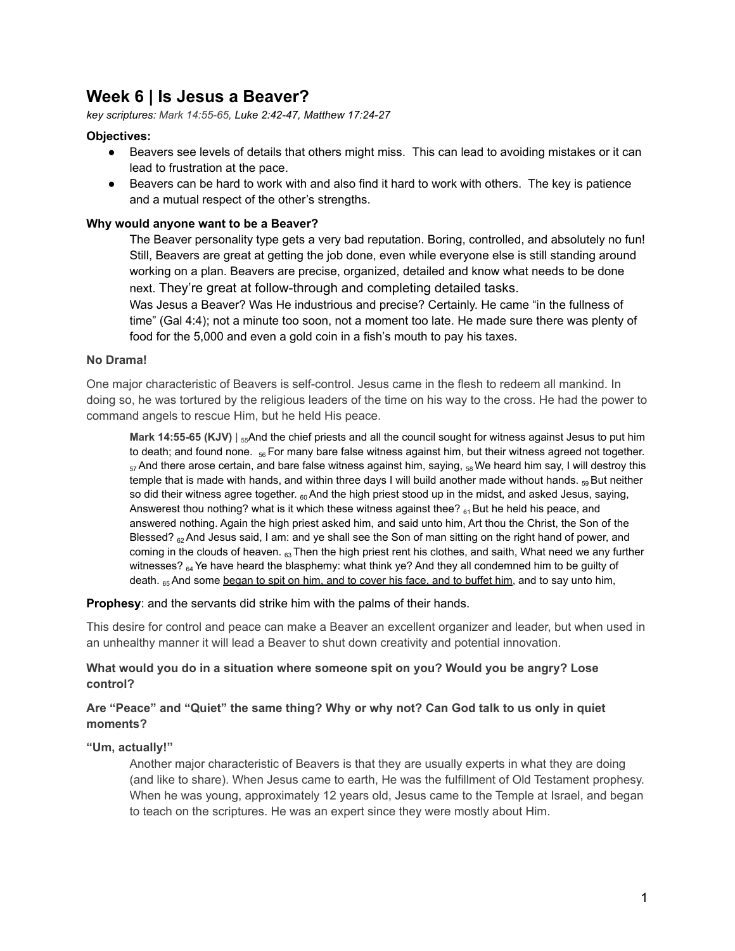# **Week 6 | Is Jesus a Beaver?**

*key scriptures: Mark 14:55-65, Luke 2:42-47, Matthew 17:24-27*

## **Objectives:**

- Beavers see levels of details that others might miss. This can lead to avoiding mistakes or it can lead to frustration at the pace.
- Beavers can be hard to work with and also find it hard to work with others. The key is patience and a mutual respect of the other's strengths.

## **Why would anyone want to be a Beaver?**

The Beaver personality type gets a very bad reputation. Boring, controlled, and absolutely no fun! Still, Beavers are great at getting the job done, even while everyone else is still standing around working on a plan. Beavers are precise, organized, detailed and know what needs to be done next. They're great at follow-through and completing detailed tasks.

Was Jesus a Beaver? Was He industrious and precise? Certainly. He came "in the fullness of time" (Gal 4:4); not a minute too soon, not a moment too late. He made sure there was plenty of food for the 5,000 and even a gold coin in a fish's mouth to pay his taxes.

#### **No Drama!**

One major characteristic of Beavers is self-control. Jesus came in the flesh to redeem all mankind. In doing so, he was tortured by the religious leaders of the time on his way to the cross. He had the power to command angels to rescue Him, but he held His peace.

**Mark 14:55-65 (KJV)** | <sub>55</sub>And the chief priests and all the council sought for witness against Jesus to put him to death; and found none. <sub>56</sub> For many bare false witness against him, but their witness agreed not together.  $57$ And there arose certain, and bare false witness against him, saying,  $58$  We heard him say, I will destroy this temple that is made with hands, and within three days I will build another made without hands.  $_{59}$  But neither so did their witness agree together.  $60$ And the high priest stood up in the midst, and asked Jesus, saying, Answerest thou nothing? what is it which these witness against thee?  $_{61}$  But he held his peace, and answered nothing. Again the high priest asked him, and said unto him, Art thou the Christ, the Son of the Blessed?  $_{62}$  And Jesus said, I am: and ye shall see the Son of man sitting on the right hand of power, and coming in the clouds of heaven.  $63$  Then the high priest rent his clothes, and saith, What need we any further witnesses?  $_{64}$  Ye have heard the blasphemy: what think ye? And they all condemned him to be guilty of death. 65 And some began to spit on him, and to cover his face, and to buffet him, and to say unto him,

**Prophesy:** and the servants did strike him with the palms of their hands.

This desire for control and peace can make a Beaver an excellent organizer and leader, but when used in an unhealthy manner it will lead a Beaver to shut down creativity and potential innovation.

## **What would you do in a situation where someone spit on you? Would you be angry? Lose control?**

## **Are "Peace" and "Quiet" the same thing? Why or why not? Can God talk to us only in quiet moments?**

## **"Um, actually!"**

Another major characteristic of Beavers is that they are usually experts in what they are doing (and like to share). When Jesus came to earth, He was the fulfillment of Old Testament prophesy. When he was young, approximately 12 years old, Jesus came to the Temple at Israel, and began to teach on the scriptures. He was an expert since they were mostly about Him.